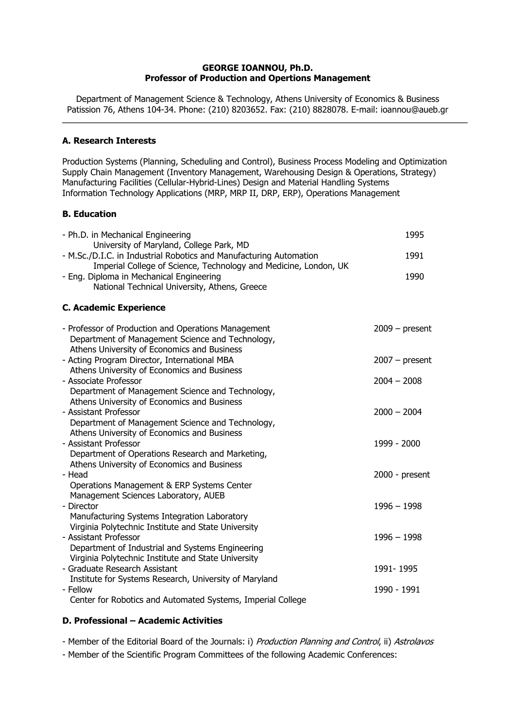## **GEORGE IOANNOU, Ph.D. Professor of Production and Opertions Management**

Department of Management Science & Technology, Athens University of Economics & Business Patission 76, Athens 104-34. Phone: (210) 8203652. Fax: (210) 8828078. E-mail: ioannou@aueb.gr

## **A. Research Interests**

Production Systems (Planning, Scheduling and Control), Business Process Modeling and Optimization Supply Chain Management (Inventory Management, Warehousing Design & Operations, Strategy) Manufacturing Facilities (Cellular-Hybrid-Lines) Design and Material Handling Systems Information Technology Applications (MRP, MRP II, DRP, ERP), Operations Management

## **Β. Education**

| - Ph.D. in Mechanical Engineering<br>University of Maryland, College Park, MD                                                                          | 1995             |
|--------------------------------------------------------------------------------------------------------------------------------------------------------|------------------|
| - M.Sc./D.I.C. in Industrial Robotics and Manufacturing Automation<br>Imperial College of Science, Technology and Medicine, London, UK                 | 1991             |
| - Eng. Diploma in Mechanical Engineering<br>National Technical University, Athens, Greece                                                              | 1990             |
| <b>C. Academic Experience</b>                                                                                                                          |                  |
| - Professor of Production and Operations Management<br>Department of Management Science and Technology,<br>Athens University of Economics and Business | $2009 - present$ |
| - Acting Program Director, International MBA<br>Athens University of Economics and Business                                                            | $2007 - present$ |
| - Associate Professor<br>Department of Management Science and Technology,<br>Athens University of Economics and Business                               | $2004 - 2008$    |
| - Assistant Professor<br>Department of Management Science and Technology,<br>Athens University of Economics and Business                               | $2000 - 2004$    |
| - Assistant Professor<br>Department of Operations Research and Marketing,<br>Athens University of Economics and Business                               | 1999 - 2000      |
| - Head<br>Operations Management & ERP Systems Center<br>Management Sciences Laboratory, AUEB                                                           | 2000 - present   |
| - Director<br>Manufacturing Systems Integration Laboratory<br>Virginia Polytechnic Institute and State University                                      | $1996 - 1998$    |
| - Assistant Professor<br>Department of Industrial and Systems Engineering<br>Virginia Polytechnic Institute and State University                       | $1996 - 1998$    |
| - Graduate Research Assistant<br>Institute for Systems Research, University of Maryland                                                                | 1991-1995        |
| - Fellow<br>Center for Robotics and Automated Systems, Imperial College                                                                                | 1990 - 1991      |

## **D. Professional – Academic Activities**

- Member of the Editorial Board of the Journals: i) Production Planning and Control, ii) Astrolavos

- Member of the Scientific Program Committees of the following Academic Conferences: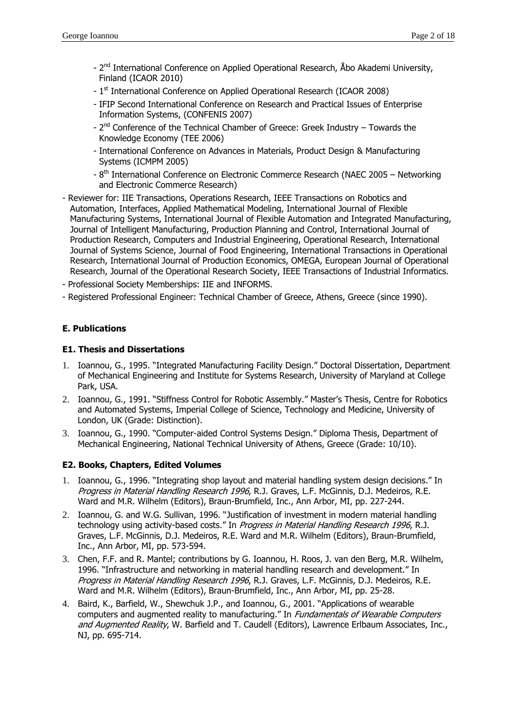- 2<sup>nd</sup> International Conference on Applied Operational Research, Åbo Akademi University, Finland (ICAOR 2010)
- 1<sup>st</sup> International Conference on Applied Operational Research (ICAOR 2008)
- IFIP Second International Conference on Research and Practical Issues of Enterprise Information Systems, (CONFENIS 2007)
- $2^{nd}$  Conference of the Technical Chamber of Greece: Greek Industry Towards the Knowledge Economy (TEE 2006)
- International Conference on Advances in Materials, Product Design & Manufacturing Systems (ICMPM 2005)
- 8<sup>th</sup> International Conference on Electronic Commerce Research (NAEC 2005 Networking and Electronic Commerce Research)
- Reviewer for: IIE Transactions, Operations Research, IEEE Transactions on Robotics and Automation, Interfaces, Applied Mathematical Modeling, International Journal of Flexible Manufacturing Systems, International Journal of Flexible Automation and Integrated Manufacturing, Journal of Intelligent Manufacturing, Production Planning and Control, International Journal of Production Research, Computers and Industrial Engineering, Operational Research, International Journal of Systems Science, Journal of Food Engineering, International Transactions in Operational Research, International Journal of Production Economics, OMEGA, European Journal of Operational Research, Journal of the Operational Research Society, IEEE Transactions of Industrial Informatics.
- Professional Society Memberships: IIE and INFORMS.
- Registered Professional Engineer: Technical Chamber of Greece, Athens, Greece (since 1990).

## **Ε. Publications**

#### **E1. Thesis and Dissertations**

- 1. Ioannou, G., 1995. "Integrated Manufacturing Facility Design." Doctoral Dissertation, Department of Mechanical Engineering and Institute for Systems Research, University of Maryland at College Park, USA.
- 2. Ioannou, G., 1991. "Stiffness Control for Robotic Assembly." Master's Thesis, Centre for Robotics and Automated Systems, Imperial College of Science, Technology and Medicine, University of London, UK (Grade: Distinction).
- 3. Ioannou, G., 1990. "Computer-aided Control Systems Design." Diploma Thesis, Department of Mechanical Engineering, National Technical University of Athens, Greece (Grade: 10/10).

## **E2. Books, Chapters, Edited Volumes**

- 1. Ioannou, G., 1996. "Integrating shop layout and material handling system design decisions." In Progress in Material Handling Research 1996, R.J. Graves, L.F. McGinnis, D.J. Medeiros, R.E. Ward and M.R. Wilhelm (Editors), Braun-Brumfield, Inc., Ann Arbor, MI, pp. 227-244.
- 2. Ioannou, G. and W.G. Sullivan, 1996. "Justification of investment in modern material handling technology using activity-based costs." In Progress in Material Handling Research 1996, R.J. Graves, L.F. McGinnis, D.J. Medeiros, R.E. Ward and M.R. Wilhelm (Editors), Braun-Brumfield, Inc., Ann Arbor, MI, pp. 573-594.
- 3. Chen, F.F. and R. Mantel; contributions by G. Ioannou, H. Roos, J. van den Berg, M.R. Wilhelm, 1996. "Infrastructure and networking in material handling research and development." In Progress in Material Handling Research 1996, R.J. Graves, L.F. McGinnis, D.J. Medeiros, R.E. Ward and M.R. Wilhelm (Editors), Braun-Brumfield, Inc., Ann Arbor, MI, pp. 25-28.
- 4. Baird, K., Barfield, W., Shewchuk J.P., and Ioannou, G., 2001. "Applications of wearable computers and augmented reality to manufacturing." In Fundamentals of Wearable Computers and Augmented Reality, W. Barfield and T. Caudell (Editors), Lawrence Erlbaum Associates, Inc., NJ, pp. 695-714.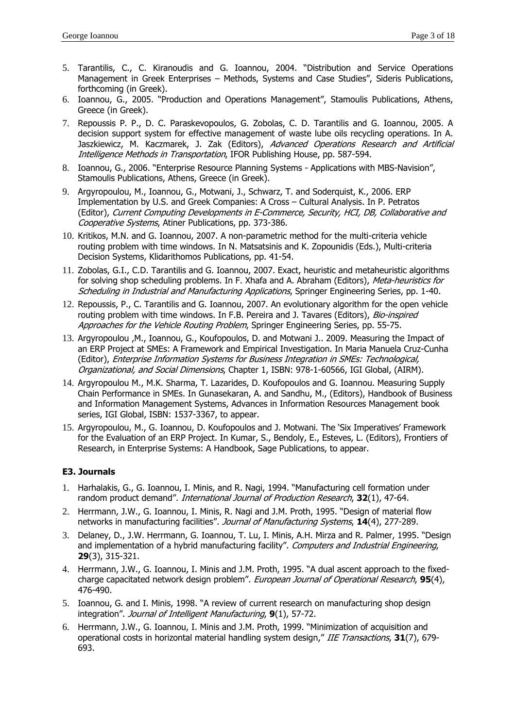- 5. Tarantilis, C., C. Kiranoudis and G. Ioannou, 2004. "Distribution and Service Operations Management in Greek Enterprises – Methods, Systems and Case Studies", Sideris Publications, forthcoming (in Greek).
- 6. Ioannou, G., 2005. "Production and Operations Management", Stamoulis Publications, Athens, Greece (in Greek).
- 7. Repoussis P. P., D. C. Paraskevopoulos, G. Zobolas, C. D. Tarantilis and G. Ioannou, 2005. A decision support system for effective management of waste lube oils recycling operations. In A. Jaszkiewicz, M. Kaczmarek, J. Zak (Editors), Advanced Operations Research and Artificial Intelligence Methods in Transportation, IFOR Publishing House, pp. 587-594.
- 8. Ioannou, G., 2006. "Enterprise Resource Planning Systems Applications with MBS-Navision", Stamoulis Publications, Athens, Greece (in Greek).
- 9. Argyropoulou, M., Ioannou, G., Motwani, J., Schwarz, T. and Soderquist, K., 2006. ERP Implementation by U.S. and Greek Companies: A Cross – Cultural Analysis. In P. Petratos (Editor), Current Computing Developments in E-Commerce, Security, HCI, DB, Collaborative and Cooperative Systems, Atiner Publications, pp. 373-386.
- 10. Kritikos, M.N. and G. Ioannou, 2007. A non-parametric method for the multi-criteria vehicle routing problem with time windows. In N. Matsatsinis and K. Zopounidis (Eds.), Multi-criteria Decision Systems, Klidarithomos Publications, pp. 41-54.
- 11. Zobolas, G.I., C.D. Tarantilis and G. Ioannou, 2007. Exact, heuristic and metaheuristic algorithms for solving shop scheduling problems. In F. Xhafa and A. Abraham (Editors), Meta-heuristics for Scheduling in Industrial and Manufacturing Applications, Springer Engineering Series, pp. 1-40.
- 12. Repoussis, P., C. Tarantilis and G. Ioannou, 2007. An evolutionary algorithm for the open vehicle routing problem with time windows. In F.B. Pereira and J. Tavares (Editors), Bio-inspired Approaches for the Vehicle Routing Problem, Springer Engineering Series, pp. 55-75.
- 13. Argyropoulou ,M., Ioannou, G., Koufopoulos, D. and Motwani J.. 2009. Measuring the Impact of an ERP Project at SMEs: A Framework and Empirical Investigation. In Maria Manuela Cruz-Cunha (Editor), Enterprise Information Systems for Business Integration in SMEs: Technological, Organizational, and Social Dimensions, Chapter 1, ISBN: 978-1-60566, IGI Global, (AIRM).
- 14. Argyropoulou M., M.K. Sharma, T. Lazarides, D. Koufopoulos and G. Ioannou. Measuring Supply Chain Performance in SMEs. In Gunasekaran, A. and Sandhu, M., (Editors), Handbook of Business and Information Management Systems, Advances in Information Resources Management book series, IGI Global, ISBN: 1537-3367, to appear.
- 15. Argyropoulou, M., G. Ioannou, D. Koufopoulos and J. Motwani. The 'Six Imperatives' Framework for the Evaluation of an ERP Project. In Kumar, S., Bendoly, E., Esteves, L. (Editors), Frontiers of Research, in Enterprise Systems: A Handbook, Sage Publications, to appear.

## **E3. Journals**

- 1. Harhalakis, G., G. Ioannou, I. Minis, and R. Nagi, 1994. "Manufacturing cell formation under random product demand". International Journal of Production Research, **32**(1), 47-64.
- 2. Herrmann, J.W., G. Ioannou, I. Minis, R. Nagi and J.M. Proth, 1995. "Design of material flow networks in manufacturing facilities". Journal of Manufacturing Systems, **14**(4), 277-289.
- 3. Delaney, D., J.W. Herrmann, G. Ioannou, T. Lu, I. Minis, A.H. Mirza and R. Palmer, 1995. "Design and implementation of a hybrid manufacturing facility". Computers and Industrial Engineering, **29**(3), 315-321.
- 4. Herrmann, J.W., G. Ioannou, I. Minis and J.M. Proth, 1995. "A dual ascent approach to the fixedcharge capacitated network design problem". European Journal of Operational Research, **95**(4), 476-490.
- 5. Ioannou, G. and I. Minis, 1998. "A review of current research on manufacturing shop design integration". Journal of Intelligent Manufacturing, **9**(1), 57-72.
- 6. Herrmann, J.W., G. Ioannou, I. Minis and J.M. Proth, 1999. "Minimization of acquisition and operational costs in horizontal material handling system design," IIE Transactions, **31**(7), 679- 693.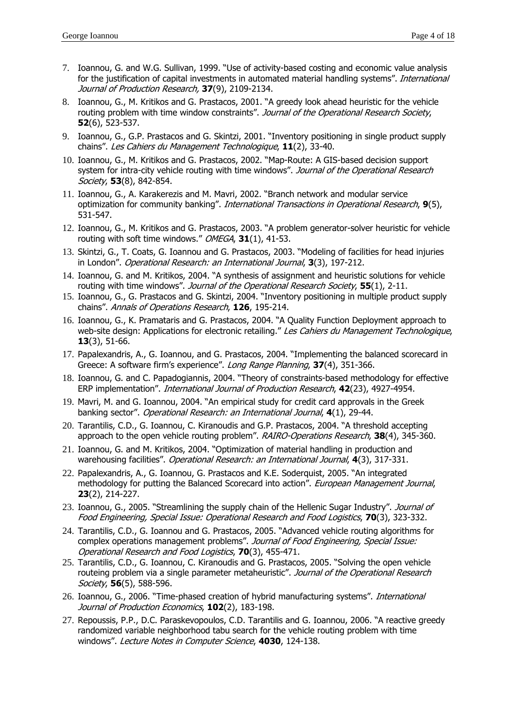- 7. Ioannou, G. and W.G. Sullivan, 1999. "Use of activity-based costing and economic value analysis for the justification of capital investments in automated material handling systems". International Journal of Production Research, **37**(9), 2109-2134.
- 8. Ioannou, G., M. Kritikos and G. Prastacos, 2001. "A greedy look ahead heuristic for the vehicle routing problem with time window constraints". Journal of the Operational Research Society, **52**(6), 523-537.
- 9. Ioannou, G., G.P. Prastacos and G. Skintzi, 2001. "Inventory positioning in single product supply chains". Les Cahiers du Management Technologique, **11**(2), 33-40.
- 10. Ioannou, G., M. Kritikos and G. Prastacos, 2002. "Map-Route: A GIS-based decision support system for intra-city vehicle routing with time windows". Journal of the Operational Research Society, **53**(8), 842-854.
- 11. Ioannou, G., A. Karakerezis and M. Mavri, 2002. "Branch network and modular service optimization for community banking". International Transactions in Operational Research, **9**(5), 531-547.
- 12. Ioannou, G., M. Kritikos and G. Prastacos, 2003. "A problem generator-solver heuristic for vehicle routing with soft time windows." OMEGA, **31**(1), 41-53.
- 13. Skintzi, G., T. Coats, G. Ioannou and G. Prastacos, 2003. "Modeling of facilities for head injuries in London". Operational Research: an International Journal, **3**(3), 197-212.
- 14. Ioannou, G. and M. Kritikos, 2004. "A synthesis of assignment and heuristic solutions for vehicle routing with time windows". Journal of the Operational Research Society, **55**(1), 2-11.
- 15. Ioannou, G., G. Prastacos and G. Skintzi, 2004. "Inventory positioning in multiple product supply chains". Annals of Operations Research, **126**, 195-214.
- 16. Ioannou, G., K. Pramataris and G. Prastacos, 2004. "A Quality Function Deployment approach to web-site design: Applications for electronic retailing." Les Cahiers du Management Technologique, **13**(3), 51-66.
- 17. Papalexandris, A., G. Ioannou, and G. Prastacos, 2004. "Implementing the balanced scorecard in Greece: A software firm's experience". Long Range Planning, **37**(4), 351-366.
- 18. Ioannou, G. and C. Papadogiannis, 2004. "Theory of constraints-based methodology for effective ERP implementation". International Journal of Production Research, **42**(23), 4927-4954.
- 19. Mavri, M. and G. Ioannou, 2004. "An empirical study for credit card approvals in the Greek banking sector". Operational Research: an International Journal, **4**(1), 29-44.
- 20. Tarantilis, C.D., G. Ioannou, C. Kiranoudis and G.P. Prastacos, 2004. "A threshold accepting approach to the open vehicle routing problem". RAIRO-Operations Research, **38**(4), 345-360.
- 21. Ioannou, G. and M. Kritikos, 2004. "Optimization of material handling in production and warehousing facilities". Operational Research: an International Journal, **4**(3), 317-331.
- 22. Papalexandris, A., G. Ioannou, G. Prastacos and K.E. Soderquist, 2005. "An integrated methodology for putting the Balanced Scorecard into action". European Management Journal, **23**(2), 214-227.
- 23. Ioannou, G., 2005. "Streamlining the supply chain of the Hellenic Sugar Industry". Journal of Food Engineering, Special Issue: Operational Research and Food Logistics, **70**(3), 323-332.
- 24. Tarantilis, C.D., G. Ioannou and G. Prastacos, 2005. "Advanced vehicle routing algorithms for complex operations management problems". Journal of Food Engineering, Special Issue: Operational Research and Food Logistics, **70**(3), 455-471.
- 25. Tarantilis, C.D., G. Ioannou, C. Kiranoudis and G. Prastacos, 2005. "Solving the open vehicle routeing problem via a single parameter metaheuristic". Journal of the Operational Research Society, **56**(5), 588-596.
- 26. Ioannou, G., 2006. "Time-phased creation of hybrid manufacturing systems". International Journal of Production Economics, **102**(2), 183-198.
- 27. Repoussis, P.P., D.C. Paraskevopoulos, C.D. Tarantilis and G. Ioannou, 2006. "A reactive greedy randomized variable neighborhood tabu search for the vehicle routing problem with time windows". Lecture Notes in Computer Science, **4030**, 124-138.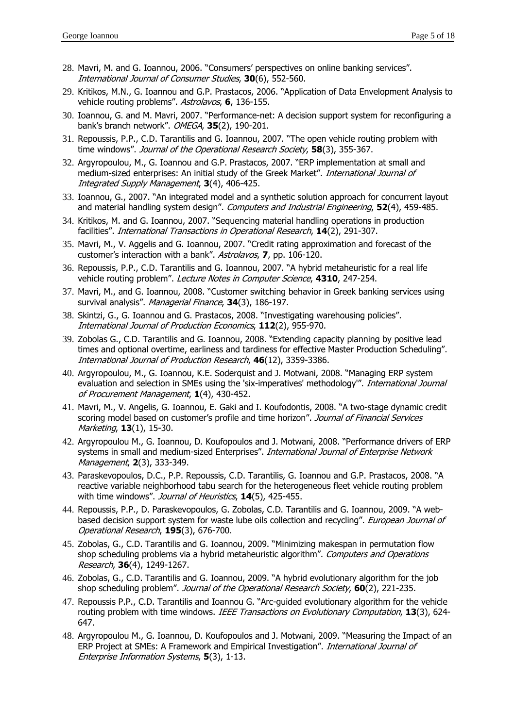- 28. Mavri, M. and G. Ioannou, 2006. "Consumers' perspectives on online banking services". International Journal of Consumer Studies, **30**(6), 552-560.
- 29. Kritikos, M.N., G. Ioannou and G.P. Prastacos, 2006. "Application of Data Envelopment Analysis to vehicle routing problems". Astrolavos, **6**, 136-155.
- 30. Ioannou, G. and M. Mavri, 2007. "Performance-net: A decision support system for reconfiguring a bank's branch network". OMEGA, **35**(2), 190-201.
- 31. Repoussis, P.P., C.D. Tarantilis and G. Ioannou, 2007. "The open vehicle routing problem with time windows". Journal of the Operational Research Society, **58**(3), 355-367.
- 32. Argyropoulou, M., G. Ioannou and G.P. Prastacos, 2007. "ERP implementation at small and medium-sized enterprises: An initial study of the Greek Market". International Journal of Integrated Supply Management, **3**(4), 406-425.
- 33. Ioannou, G., 2007. "An integrated model and a synthetic solution approach for concurrent layout and material handling system design". Computers and Industrial Engineering, **52**(4), 459-485.
- 34. Kritikos, M. and G. Ioannou, 2007. "Sequencing material handling operations in production facilities". International Transactions in Operational Research, **14**(2), 291-307.
- 35. Mavri, M., V. Aggelis and G. Ioannou, 2007. "Credit rating approximation and forecast of the customer's interaction with a bank". Astrolavos, **7**, pp. 106-120.
- 36. Repoussis, P.P., C.D. Tarantilis and G. Ioannou, 2007. "A hybrid metaheuristic for a real life vehicle routing problem". Lecture Notes in Computer Science, **4310**, 247-254.
- 37. Mavri, M., and G. Ioannou, 2008. "Customer switching behavior in Greek banking services using survival analysis". Managerial Finance, **34**(3), 186-197.
- 38. Skintzi, G., G. Ioannou and G. Prastacos, 2008. "Investigating warehousing policies". International Journal of Production Economics, **112**(2), 955-970.
- 39. Zobolas G., C.D. Tarantilis and G. Ioannou, 2008. "Extending capacity planning by positive lead times and optional overtime, earliness and tardiness for effective Master Production Scheduling". International Journal of Production Research, **46**(12), 3359-3386.
- 40. Argyropoulou, M., G. Ioannou, K.E. Soderquist and J. Motwani, 2008. "Managing ERP system evaluation and selection in SMEs using the 'six-imperatives' methodology". International Journal of Procurement Management, **1**(4), 430-452.
- 41. Mavri, M., V. Angelis, G. Ioannou, E. Gaki and I. Koufodontis, 2008. "A two-stage dynamic credit scoring model based on customer's profile and time horizon". Journal of Financial Services Marketing, **13**(1), 15-30.
- 42. Argyropoulou M., G. Ioannou, D. Koufopoulos and J. Motwani, 2008. "Performance drivers of ERP systems in small and medium-sized Enterprises". International Journal of Enterprise Network Management, **2**(3), 333-349.
- 43. Paraskevopoulos, D.C., P.P. Repoussis, C.D. Tarantilis, G. Ioannou and G.P. Prastacos, 2008. "A reactive variable neighborhood tabu search for the heterogeneous fleet vehicle routing problem with time windows". Journal of Heuristics, **14**(5), 425-455.
- 44. Repoussis, P.P., D. Paraskevopoulos, G. Zobolas, C.D. Tarantilis and G. Ioannou, 2009. "A webbased decision support system for waste lube oils collection and recycling". European Journal of Operational Research, **195**(3), 676-700.
- 45. Zobolas, G., C.D. Tarantilis and G. Ioannou, 2009. "Minimizing makespan in permutation flow shop scheduling problems via a hybrid metaheuristic algorithm". Computers and Operations Research, **36**(4), 1249-1267.
- 46. Zobolas, G., C.D. Tarantilis and G. Ioannou, 2009. "A hybrid evolutionary algorithm for the job shop scheduling problem". Journal of the Operational Research Society, **60**(2), 221-235.
- 47. Repoussis P.P., C.D. Tarantilis and Ioannou G. "Arc-guided evolutionary algorithm for the vehicle routing problem with time windows. IEEE Transactions on Evolutionary Computation, **13**(3), 624- 647.
- 48. Argyropoulou M., G. Ioannou, D. Koufopoulos and J. Motwani, 2009. "Measuring the Impact of an ERP Project at SMEs: A Framework and Empirical Investigation". International Journal of Enterprise Information Systems, **5**(3), 1-13.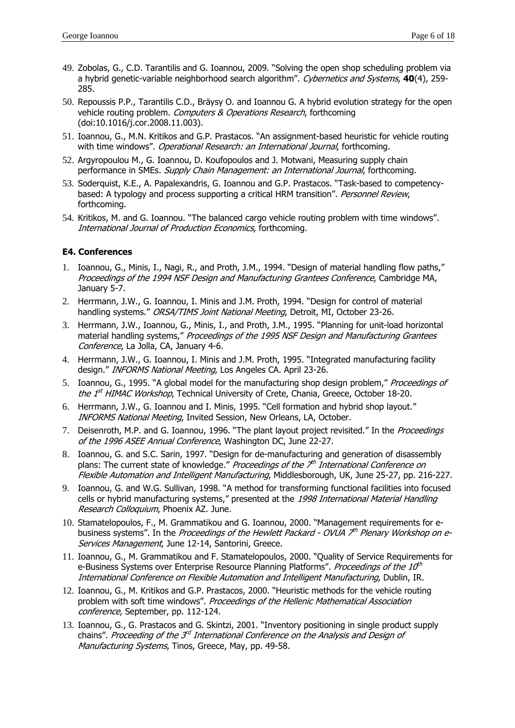- 49. Zobolas, G., C.D. Tarantilis and G. Ioannou, 2009. "Solving the open shop scheduling problem via a hybrid genetic-variable neighborhood search algorithm". Cybernetics and Systems, **40**(4), 259- 285.
- 50. Repoussis P.P., Tarantilis C.D., Bräysy O. and Ioannou G. A hybrid evolution strategy for the open vehicle routing problem. Computers & Operations Research, forthcoming (doi:10.1016/j.cor.2008.11.003).
- 51. Ioannou, G., M.N. Kritikos and G.P. Prastacos. "An assignment-based heuristic for vehicle routing with time windows". Operational Research: an International Journal, forthcoming.
- 52. Argyropoulou M., G. Ioannou, D. Koufopoulos and J. Motwani, Measuring supply chain performance in SMEs. Supply Chain Management: an International Journal, forthcoming.
- 53. Soderquist, K.E., A. Papalexandris, G. Ioannou and G.P. Prastacos. "Task-based to competencybased: A typology and process supporting a critical HRM transition". Personnel Review, forthcoming.
- 54. Kritikos, M. and G. Ioannou. "The balanced cargo vehicle routing problem with time windows". International Journal of Production Economics, forthcoming.

## **Ε4. Conferences**

- 1. Ioannou, G., Minis, I., Nagi, R., and Proth, J.M., 1994. "Design of material handling flow paths," Proceedings of the 1994 NSF Design and Manufacturing Grantees Conference, Cambridge MA, January 5-7.
- 2. Herrmann, J.W., G. Ioannou, I. Minis and J.M. Proth, 1994. "Design for control of material handling systems." ORSA/TIMS Joint National Meeting, Detroit, MI, October 23-26.
- 3. Herrmann, J.W., Ioannou, G., Minis, I., and Proth, J.M., 1995. "Planning for unit-load horizontal material handling systems," Proceedings of the 1995 NSF Design and Manufacturing Grantees Conference, La Jolla, CA, January 4-6.
- 4. Herrmann, J.W., G. Ioannou, I. Minis and J.M. Proth, 1995. "Integrated manufacturing facility design." INFORMS National Meeting, Los Angeles CA. April 23-26.
- 5. Ioannou, G., 1995. "A global model for the manufacturing shop design problem," Proceedings of the  $1<sup>st</sup>$  HIMAC Workshop, Technical University of Crete, Chania, Greece, October 18-20.
- 6. Herrmann, J.W., G. Ioannou and I. Minis, 1995. "Cell formation and hybrid shop layout." INFORMS National Meeting, Invited Session, New Orleans, LA, October.
- 7. Deisenroth, M.P. and G. Ioannou, 1996. "The plant layout project revisited." In the Proceedings of the 1996 ASEE Annual Conference, Washington DC, June 22-27.
- 8. Ioannou, G. and S.C. Sarin, 1997. "Design for de-manufacturing and generation of disassembly plans: The current state of knowledge." Proceedings of the  $\mathcal{I}^h$  International Conference on Flexible Automation and Intelligent Manufacturing, Middlesborough, UK, June 25-27, pp. 216-227.
- 9. Ioannou, G. and W.G. Sullivan, 1998. "A method for transforming functional facilities into focused cells or hybrid manufacturing systems," presented at the 1998 International Material Handling Research Colloquium, Phoenix AZ. June.
- 10. Stamatelopoulos, F., M. Grammatikou and G. Ioannou, 2000. "Management requirements for ebusiness systems". In the Proceedings of the Hewlett Packard - OVUA 7<sup>th</sup> Plenary Workshop on e-Services Management, June 12-14, Santorini, Greece.
- 11. Ioannou, G., M. Grammatikou and F. Stamatelopoulos, 2000. "Quality of Service Requirements for e-Business Systems over Enterprise Resource Planning Platforms". Proceedings of the  $10<sup>th</sup>$ International Conference on Flexible Automation and Intelligent Manufacturing, Dublin, IR.
- 12. Ioannou, G., M. Kritikos and G.P. Prastacos, 2000. "Heuristic methods for the vehicle routing problem with soft time windows". Proceedings of the Hellenic Mathematical Association conference, September, pp. 112-124.
- 13. Ioannou, G., G. Prastacos and G. Skintzi, 2001. "Inventory positioning in single product supply chains". Proceeding of the  $3<sup>d</sup>$  International Conference on the Analysis and Design of Manufacturing Systems, Tinos, Greece, May, pp. 49-58.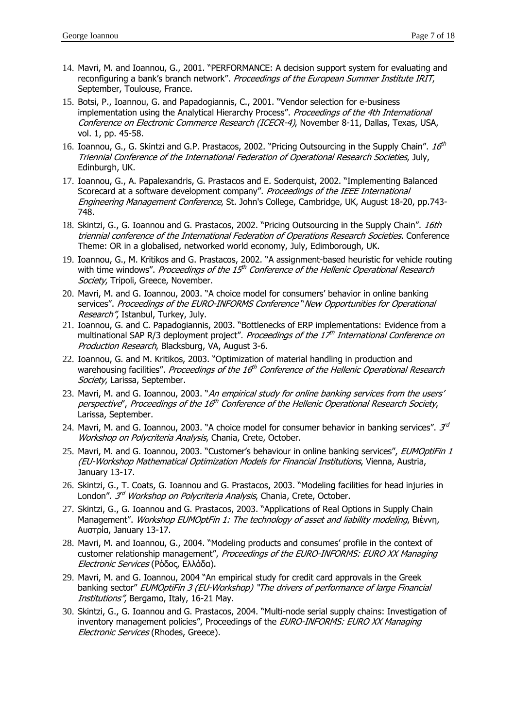- 14. Mavri, M. and Ioannou, G., 2001. "PERFORMANCE: A decision support system for evaluating and reconfiguring a bank's branch network". Proceedings of the European Summer Institute IRIT, September, Toulouse, France.
- 15. Botsi, P., Ioannou, G. and Papadogiannis, C., 2001. "Vendor selection for e-business implementation using the Analytical Hierarchy Process". Proceedings of the 4th International Conference on Electronic Commerce Research (ICECR-4), November 8-11, Dallas, Texas, USA, vol. 1, pp. 45-58.
- 16. Ioannou, G., G. Skintzi and G.P. Prastacos, 2002. "Pricing Outsourcing in the Supply Chain".  $16<sup>th</sup>$ Triennial Conference of the International Federation of Operational Research Societies, July, Edinburgh, UK.
- 17. Ioannou, G., A. Papalexandris, G. Prastacos and E. Soderquist, 2002. "Implementing Balanced Scorecard at a software development company". Proceedings of the IEEE International Engineering Management Conference, St. John's College, Cambridge, UK, August 18-20, pp.743- 748.
- 18. Skintzi, G., G. Ioannou and G. Prastacos, 2002. "Pricing Outsourcing in the Supply Chain". 16th triennial conference of the International Federation of Operations Research Societies. Conference Theme: OR in a globalised, networked world economy, July, Edimborough, UK.
- 19. Ioannou, G., M. Kritikos and G. Prastacos, 2002. "A assignment-based heuristic for vehicle routing with time windows". Proceedings of the  $15<sup>th</sup>$  Conference of the Hellenic Operational Research Society, Tripoli, Greece, November.
- 20. Mavri, M. and G. Ioannou, 2003. "A choice model for consumers' behavior in online banking services". Proceedings of the EURO-INFORMS Conference "New Opportunities for Operational Research", Istanbul, Turkey, July.
- 21. Ioannou, G. and C. Papadogiannis, 2003. "Bottlenecks of ERP implementations: Evidence from a multinational SAP R/3 deployment project". Proceedings of the  $17<sup>th</sup>$  International Conference on Production Research, Blacksburg, VA, August 3-6.
- 22. Ioannou, G. and M. Kritikos, 2003. "Optimization of material handling in production and warehousing facilities". Proceedings of the 16<sup>th</sup> Conference of the Hellenic Operational Research Society, Larissa, September.
- 23. Mavri, M. and G. Ioannou, 2003. "An empirical study for online banking services from the users' perspective", Proceedings of the 16<sup>th</sup> Conference of the Hellenic Operational Research Society, Larissa, September.
- 24. Mavri, M. and G. Ioannou, 2003. "A choice model for consumer behavior in banking services".  $\mathcal{J}^d$ Workshop on Polycriteria Analysis, Chania, Crete, October.
- 25. Mavri, M. and G. Ioannou, 2003. "Customer's behaviour in online banking services", EUMOptiFin 1 (EU-Workshop Mathematical Optimization Models for Financial Institutions, Vienna, Austria, January 13-17.
- 26. Skintzi, G., T. Coats, G. Ioannou and G. Prastacos, 2003. "Modeling facilities for head injuries in London". *3<sup>d</sup> Workshop on Polycriteria Analysis*, Chania, Crete, October.
- 27. Skintzi, G., G. Ioannou and G. Prastacos, 2003. "Applications of Real Options in Supply Chain Management". Workshop EUMOptFin 1: The technology of asset and liability modeling, Βιέννη, Αυστρία, January 13-17.
- 28. Mavri, M. and Ioannou, G., 2004. "Modeling products and consumes' profile in the context of customer relationship management", Proceedings of the EURO-INFORMS: EURO XX Managing Electronic Services (Ρόδος, Ελλάδα).
- 29. Mavri, M. and G. Ioannou, 2004 "An empirical study for credit card approvals in the Greek banking sector" EUMOptiFin 3 (EU-Workshop) "The drivers of performance of large Financial Institutions", Bergamo, Italy, 16-21 May.
- 30. Skintzi, G., G. Ioannou and G. Prastacos, 2004. "Multi-node serial supply chains: Investigation of inventory management policies", Proceedings of the EURO-INFORMS: EURO XX Managing Electronic Services (Rhodes, Greece).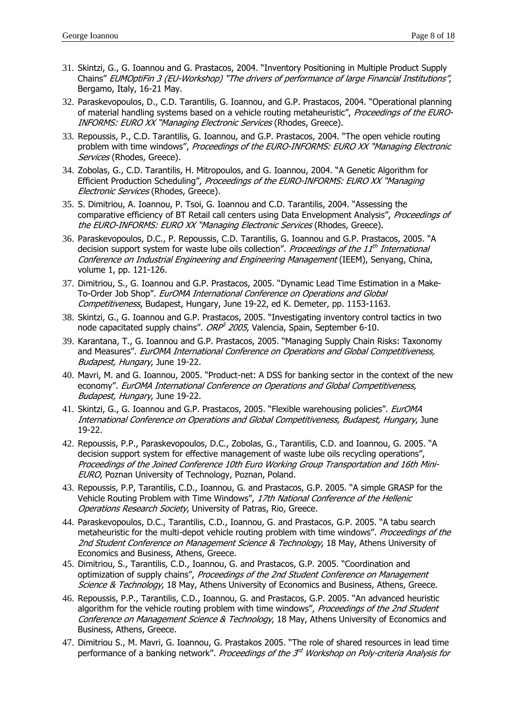- 31. Skintzi, G., G. Ioannou and G. Prastacos, 2004. "Inventory Positioning in Multiple Product Supply Chains" EUMOptiFin 3 (EU-Workshop) "The drivers of performance of large Financial Institutions", Bergamo, Italy, 16-21 May.
- 32. Paraskevopoulos, D., C.D. Tarantilis, G. Ioannou, and G.P. Prastacos, 2004. "Operational planning of material handling systems based on a vehicle routing metaheuristic", Proceedings of the EURO-INFORMS: EURO XX "Managing Electronic Services (Rhodes, Greece).
- 33. Repoussis, P., C.D. Tarantilis, G. Ioannou, and G.P. Prastacos, 2004. "The open vehicle routing problem with time windows", Proceedings of the EURO-INFORMS: EURO XX "Managing Electronic Services (Rhodes, Greece).
- 34. Zobolas, G., C.D. Tarantilis, H. Mitropoulos, and G. Ioannou, 2004. "A Genetic Algorithm for Efficient Production Scheduling", Proceedings of the EURO-INFORMS: EURO XX "Managing Electronic Services (Rhodes, Greece).
- 35. S. Dimitriou, A. Ioannou, P. Tsoi, G. Ioannou and C.D. Tarantilis, 2004. "Assessing the comparative efficiency of BT Retail call centers using Data Envelopment Analysis", Proceedings of the EURO-INFORMS: EURO XX "Managing Electronic Services (Rhodes, Greece).
- 36. Paraskevopoulos, D.C., P. Repoussis, C.D. Tarantilis, G. Ioannou and G.P. Prastacos, 2005. "A decision support system for waste lube oils collection". Proceedings of the  $11<sup>th</sup>$  International Conference on Industrial Engineering and Engineering Management (IEEM), Senyang, China, volume 1, pp. 121-126.
- 37. Dimitriou, S., G. Ioannou and G.P. Prastacos, 2005. "Dynamic Lead Time Estimation in a Make-To-Order Job Shop". EurOMA International Conference on Operations and Global Competitiveness, Budapest, Hungary, June 19-22, ed K. Demeter, pp. 1153-1163.
- 38. Skintzi, G., G. Ioannou and G.P. Prastacos, 2005. "Investigating inventory control tactics in two node capacitated supply chains". ORP<sup>3</sup> 2005, Valencia, Spain, September 6-10.
- 39. Karantana, T., G. Ioannou and G.P. Prastacos, 2005. "Managing Supply Chain Risks: Taxonomy and Measures". EurOMA International Conference on Operations and Global Competitiveness, Budapest, Hungary, June 19-22.
- 40. Mavri, M. and G. Ioannou, 2005. "Product-net: A DSS for banking sector in the context of the new economy". EurOMA International Conference on Operations and Global Competitiveness, Budapest, Hungary, June 19-22.
- 41. Skintzi, G., G. Ioannou and G.P. Prastacos, 2005. "Flexible warehousing policies". EurOMA International Conference on Operations and Global Competitiveness, Budapest, Hungary, June 19-22.
- 42. Repoussis, P.P., Paraskevopoulos, D.C., Zobolas, G., Tarantilis, C.D. and Ioannou, G. 2005. "A decision support system for effective management of waste lube oils recycling operations", Proceedings of the Joined Conference 10th Euro Working Group Transportation and 16th Mini-EURO, Poznan University of Technology, Poznan, Poland.
- 43. Repoussis, P.P, Tarantilis, C.D., Ioannou, G. and Prastacos, G.P. 2005. "A simple GRASP for the Vehicle Routing Problem with Time Windows", 17th National Conference of the Hellenic Operations Research Society, University of Patras, Rio, Greece.
- 44. Paraskevopoulos, D.C., Tarantilis, C.D., Ioannou, G. and Prastacos, G.P. 2005. "A tabu search metaheuristic for the multi-depot vehicle routing problem with time windows". Proceedings of the 2nd Student Conference on Management Science & Technology, 18 May, Athens University of Economics and Business, Athens, Greece.
- 45. Dimitriou, S., Tarantilis, C.D., Ioannou, G. and Prastacos, G.P. 2005. "Coordination and optimization of supply chains", Proceedings of the 2nd Student Conference on Management Science & Technology, 18 May, Athens University of Economics and Business, Athens, Greece.
- 46. Repoussis, P.P., Tarantilis, C.D., Ioannou, G. and Prastacos, G.P. 2005. "An advanced heuristic algorithm for the vehicle routing problem with time windows", Proceedings of the 2nd Student Conference on Management Science & Technology, 18 May, Athens University of Economics and Business, Athens, Greece.
- 47. Dimitriou S., M. Mavri, G. Ioannou, G. Prastakos 2005. "The role of shared resources in lead time performance of a banking network". Proceedings of the  $3<sup>d</sup>$  Workshop on Poly-criteria Analysis for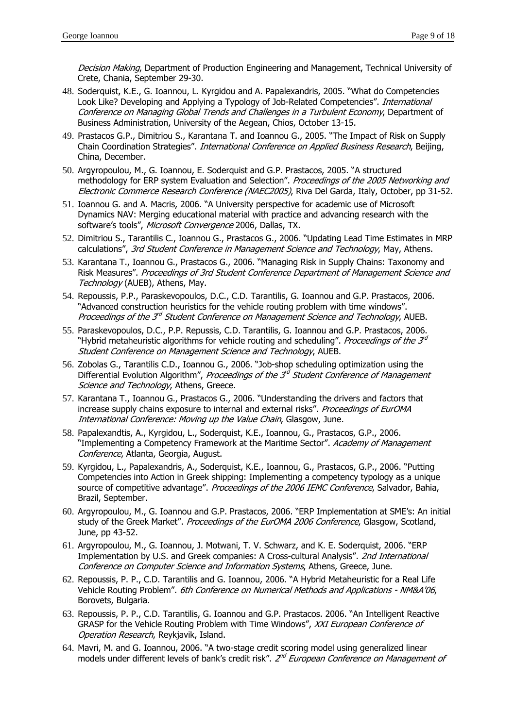Decision Making, Department of Production Engineering and Management, Technical University of Crete, Chania, September 29-30.

- 48. Soderquist, K.E., G. Ioannou, L. Kyrgidou and A. Papalexandris, 2005. "What do Competencies Look Like? Developing and Applying a Typology of Job-Related Competencies". *International* Conference on Managing Global Trends and Challenges in a Turbulent Economy, Department of Business Administration, University of the Aegean, Chios, October 13-15.
- 49. Prastacos G.P., Dimitriou S., Karantana T. and Ioannou G., 2005. "The Impact of Risk on Supply Chain Coordination Strategies". International Conference on Applied Business Research, Beijing, China, December.
- 50. Argyropoulou, M., G. Ioannou, E. Soderquist and G.P. Prastacos, 2005. "A structured methodology for ERP system Evaluation and Selection". Proceedings of the 2005 Networking and Electronic Commerce Research Conference (NAEC2005), Riva Del Garda, Italy, October, pp 31-52.
- 51. Ioannou G. and A. Macris, 2006. "A University perspective for academic use of Microsoft Dynamics NAV: Merging educational material with practice and advancing research with the software's tools", Microsoft Convergence 2006, Dallas, TX.
- 52. Dimitriou S., Tarantilis C., Ioannou G., Prastacos G., 2006. "Updating Lead Time Estimates in MRP calculations", 3rd Student Conference in Management Science and Technology, May, Athens.
- 53. Karantana T., Ioannou G., Prastacos G., 2006. "Managing Risk in Supply Chains: Taxonomy and Risk Measures". Proceedings of 3rd Student Conference Department of Management Science and Technology (AUEB), Athens, May.
- 54. Repoussis, P.P., Paraskevopoulos, D.C., C.D. Tarantilis, G. Ioannou and G.P. Prastacos, 2006. "Advanced construction heuristics for the vehicle routing problem with time windows". Proceedings of the 3<sup>rd</sup> Student Conference on Management Science and Technology, AUEB.
- 55. Paraskevopoulos, D.C., P.P. Repussis, C.D. Tarantilis, G. Ioannou and G.P. Prastacos, 2006. "Hybrid metaheuristic algorithms for vehicle routing and scheduling". Proceedings of the  $3^{rd}$ Student Conference on Management Science and Technology, AUEB.
- 56. Zobolas G., Tarantilis C.D., Ioannou G., 2006. "Job-shop scheduling optimization using the Differential Evolution Algorithm", Proceedings of the  $3<sup>d</sup>$  Student Conference of Management Science and Technology, Athens, Greece.
- 57. Karantana T., Ioannou G., Prastacos G., 2006. "Understanding the drivers and factors that increase supply chains exposure to internal and external risks". Proceedings of EurOMA International Conference: Moving up the Value Chain, Glasgow, June.
- 58. Papalexandtis, A., Kyrgidou, L., Soderquist, K.E., Ioannou, G., Prastacos, G.P., 2006. "Implementing a Competency Framework at the Maritime Sector". Academy of Management Conference, Atlanta, Georgia, August.
- 59. Kyrgidou, L., Papalexandris, A., Soderquist, K.E., Ioannou, G., Prastacos, G.P., 2006. "Putting Competencies into Action in Greek shipping: Implementing a competency typology as a unique source of competitive advantage". Proceedings of the 2006 IEMC Conference, Salvador, Bahia, Brazil, September.
- 60. Argyropoulou, M., G. Ioannou and G.P. Prastacos, 2006. "ERP Implementation at SME's: An initial study of the Greek Market". Proceedings of the EurOMA 2006 Conference, Glasgow, Scotland, June, pp 43-52.
- 61. Argyropoulou, M., G. Ioannou, J. Motwani, T. V. Schwarz, and K. E. Soderquist, 2006. "ERP Implementation by U.S. and Greek companies: A Cross-cultural Analysis". 2nd International Conference on Computer Science and Information Systems, Athens, Greece, June.
- 62. Repoussis, P. P., C.D. Tarantilis and G. Ioannou, 2006. "A Hybrid Metaheuristic for a Real Life Vehicle Routing Problem". 6th Conference on Numerical Methods and Applications - NM&A'06, Borovets, Bulgaria.
- 63. Repoussis, P. P., C.D. Tarantilis, G. Ioannou and G.P. Prastacos. 2006. "An Intelligent Reactive GRASP for the Vehicle Routing Problem with Time Windows", XXI European Conference of Operation Research, Reykjavik, Island.
- 64. Mavri, M. and G. Ioannou, 2006. "A two-stage credit scoring model using generalized linear models under different levels of bank's credit risk". 2<sup>nd</sup> European Conference on Management of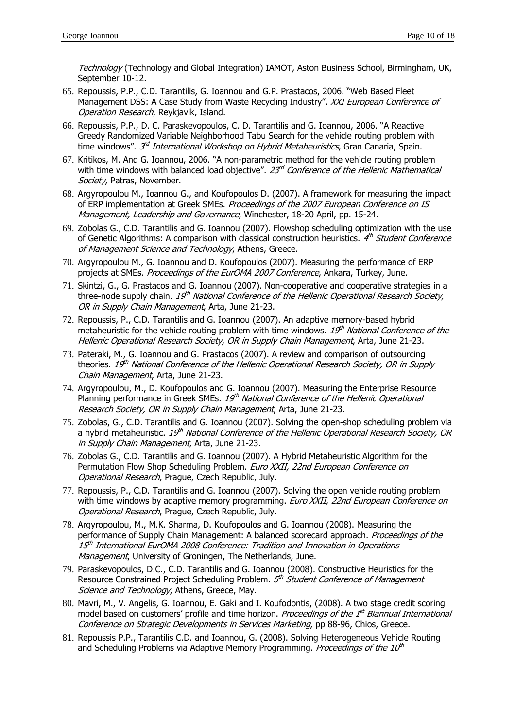Technology (Technology and Global Integration) IAMOT, Aston Business School, Birmingham, UK, September 10-12.

- 65. Repoussis, P.P., C.D. Tarantilis, G. Ioannou and G.P. Prastacos, 2006. "Web Based Fleet Management DSS: A Case Study from Waste Recycling Industry". XXI European Conference of Operation Research, Reykjavik, Island.
- 66. Repoussis, P.P., D. C. Paraskevopoulos, C. D. Tarantilis and G. Ioannou, 2006. "A Reactive Greedy Randomized Variable Neighborhood Tabu Search for the vehicle routing problem with time windows". *3<sup>d</sup> International Workshop on Hybrid Metaheuristics*, Gran Canaria, Spain.
- 67. Kritikos, M. And G. Ioannou, 2006. "A non-parametric method for the vehicle routing problem with time windows with balanced load objective".  $23<sup>rd</sup>$  Conference of the Hellenic Mathematical Society, Patras, November.
- 68. Argyropoulou M., Ioannou G., and Koufopoulos D. (2007). A framework for measuring the impact of ERP implementation at Greek SMEs. Proceedings of the 2007 European Conference on IS Management, Leadership and Governance, Winchester, 18-20 April, pp. 15-24.
- 69. Zobolas G., C.D. Tarantilis and G. Ioannou (2007). Flowshop scheduling optimization with the use of Genetic Algorithms: A comparison with classical construction heuristics. 4<sup>th</sup> Student Conference of Management Science and Technology, Athens, Greece.
- 70. Argyropoulou M., G. Ioannou and D. Koufopoulos (2007). Measuring the performance of ERP projects at SMEs. Proceedings of the EurOMA 2007 Conference, Ankara, Turkey, June.
- 71. Skintzi, G., G. Prastacos and G. Ioannou (2007). Non-cooperative and cooperative strategies in a three-node supply chain. 19<sup>th</sup> National Conference of the Hellenic Operational Research Society, OR in Supply Chain Management, Arta, June 21-23.
- 72. Repoussis, P., C.D. Tarantilis and G. Ioannou (2007). An adaptive memory-based hybrid metaheuristic for the vehicle routing problem with time windows.  $19<sup>th</sup> National Conference of the$ Hellenic Operational Research Society, OR in Supply Chain Management, Arta, June 21-23.
- 73. Pateraki, M., G. Ioannou and G. Prastacos (2007). A review and comparison of outsourcing theories. 19<sup>th</sup> National Conference of the Hellenic Operational Research Society, OR in Supply Chain Management, Arta, June 21-23.
- 74. Argyropoulou, M., D. Koufopoulos and G. Ioannou (2007). Measuring the Enterprise Resource Planning performance in Greek SMEs.  $19<sup>th</sup>$  National Conference of the Hellenic Operational Research Society, OR in Supply Chain Management, Arta, June 21-23.
- 75. Zobolas, G., C.D. Tarantilis and G. Ioannou (2007). Solving the open-shop scheduling problem via a hybrid metaheuristic.  $19<sup>th</sup>$  National Conference of the Hellenic Operational Research Society, OR in Supply Chain Management, Arta, June 21-23.
- 76. Zobolas G., C.D. Tarantilis and G. Ioannou (2007). A Hybrid Metaheuristic Algorithm for the Permutation Flow Shop Scheduling Problem. Euro XXII, 22nd European Conference on Operational Research, Prague, Czech Republic, July.
- 77. Repoussis, P., C.D. Tarantilis and G. Ioannou (2007). Solving the open vehicle routing problem with time windows by adaptive memory programming. *Euro XXII, 22nd European Conference on* Operational Research, Prague, Czech Republic, July.
- 78. Argyropoulou, M., M.K. Sharma, D. Koufopoulos and G. Ioannou (2008). Measuring the performance of Supply Chain Management: A balanced scorecard approach. Proceedings of the  $15^{\text{th}}$  International EurOMA 2008 Conference: Tradition and Innovation in Operations Management, University of Groningen, The Netherlands, June.
- 79. Paraskevopoulos, D.C., C.D. Tarantilis and G. Ioannou (2008). Constructive Heuristics for the Resource Constrained Project Scheduling Problem. 5<sup>th</sup> Student Conference of Management Science and Technology, Athens, Greece, May.
- 80. Mavri, M., V. Angelis, G. Ioannou, E. Gaki and I. Koufodontis, (2008). A two stage credit scoring model based on customers' profile and time horizon. Proceedings of the 1<sup>st</sup> Biannual International Conference on Strategic Developments in Services Marketing, pp 88-96, Chios, Greece.
- 81. Repoussis P.P., Tarantilis C.D. and Ioannou, G. (2008). Solving Heterogeneous Vehicle Routing and Scheduling Problems via Adaptive Memory Programming. Proceedings of the  $10<sup>th</sup>$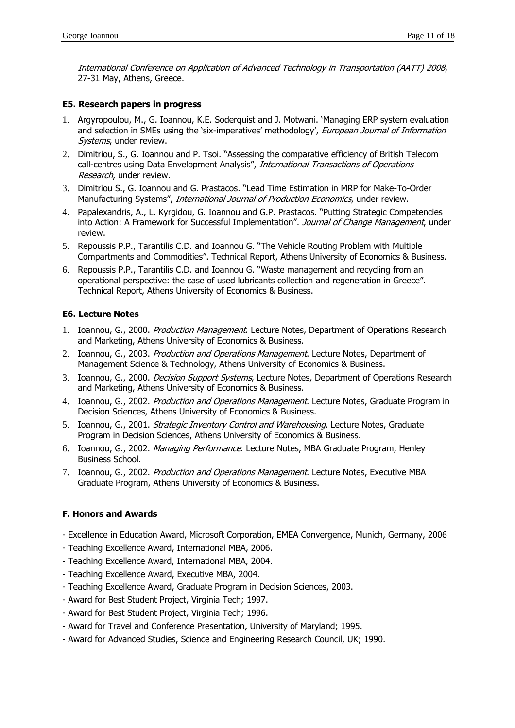International Conference on Application of Advanced Technology in Transportation (AATT) 2008, 27-31 May, Athens, Greece.

## **E5. Research papers in progress**

- 1. Argyropoulou, M., G. Ioannou, K.E. Soderquist and J. Motwani. 'Managing ERP system evaluation and selection in SMEs using the 'six-imperatives' methodology', European Journal of Information Systems, under review.
- 2. Dimitriou, S., G. Ioannou and P. Tsoi. "Assessing the comparative efficiency of British Telecom call-centres using Data Envelopment Analysis", International Transactions of Operations Research, under review.
- 3. Dimitriou S., G. Ioannou and G. Prastacos. "Lead Time Estimation in MRP for Make-To-Order Manufacturing Systems", International Journal of Production Economics, under review.
- 4. Papalexandris, A., L. Kyrgidou, G. Ioannou and G.P. Prastacos. "Putting Strategic Competencies into Action: A Framework for Successful Implementation". Journal of Change Management, under review.
- 5. Repoussis P.P., Tarantilis C.D. and Ioannou G. "The Vehicle Routing Problem with Multiple Compartments and Commodities". Technical Report, Athens University of Economics & Business.
- 6. Repoussis P.P., Tarantilis C.D. and Ioannou G. "Waste management and recycling from an operational perspective: the case of used lubricants collection and regeneration in Greece". Technical Report, Athens University of Economics & Business.

## **E6. Lecture Notes**

- 1. Ioannou, G., 2000. Production Management. Lecture Notes, Department of Operations Research and Marketing, Athens University of Economics & Business.
- 2. Ioannou, G., 2003. Production and Operations Management. Lecture Notes, Department of Management Science & Technology, Athens University of Economics & Business.
- 3. Ioannou, G., 2000. *Decision Support Systems*, Lecture Notes, Department of Operations Research and Marketing, Athens University of Economics & Business.
- 4. Ioannou, G., 2002. Production and Operations Management. Lecture Notes, Graduate Program in Decision Sciences, Athens University of Economics & Business.
- 5. Ioannou, G., 2001. *Strategic Inventory Control and Warehousing*. Lecture Notes, Graduate Program in Decision Sciences, Athens University of Economics & Business.
- 6. Ioannou, G., 2002. Managing Performance. Lecture Notes, MBA Graduate Program, Henley Business School.
- 7. Ioannou, G., 2002. Production and Operations Management. Lecture Notes, Executive MBA Graduate Program, Athens University of Economics & Business.

## **F. Honors and Awards**

- Excellence in Education Award, Microsoft Corporation, EMEA Convergence, Munich, Germany, 2006
- Teaching Excellence Award, International MBA, 2006.
- Teaching Excellence Award, International MBA, 2004.
- Teaching Excellence Award, Executive MBA, 2004.
- Teaching Excellence Award, Graduate Program in Decision Sciences, 2003.
- Award for Best Student Project, Virginia Tech; 1997.
- Award for Best Student Project, Virginia Tech; 1996.
- Award for Travel and Conference Presentation, University of Maryland; 1995.
- Award for Advanced Studies, Science and Engineering Research Council, UK; 1990.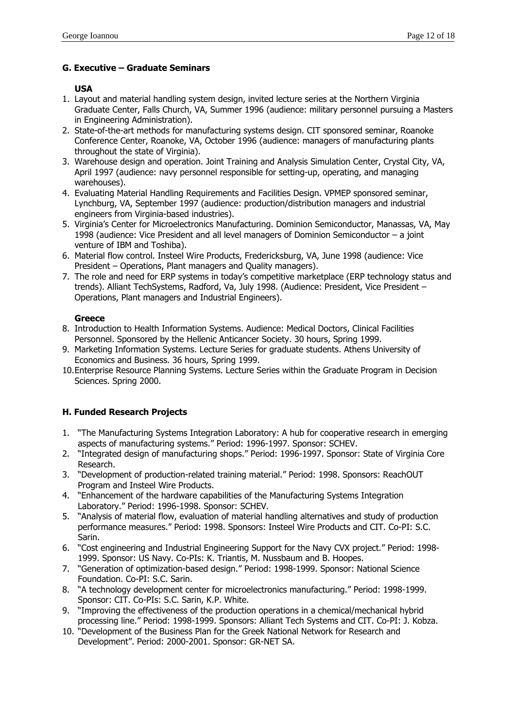## **G. Executive – Graduate Seminars**

## **USA**

- 1. Layout and material handling system design, invited lecture series at the Northern Virginia Graduate Center, Falls Church, VA, Summer 1996 (audience: military personnel pursuing a Masters in Engineering Administration).
- 2. State-of-the-art methods for manufacturing systems design. CIT sponsored seminar, Roanoke Conference Center, Roanoke, VA, October 1996 (audience: managers of manufacturing plants throughout the state of Virginia).
- 3. Warehouse design and operation. Joint Training and Analysis Simulation Center, Crystal City, VA, April 1997 (audience: navy personnel responsible for setting-up, operating, and managing warehouses).
- 4. Evaluating Material Handling Requirements and Facilities Design. VPMEP sponsored seminar, Lynchburg, VA, September 1997 (audience: production/distribution managers and industrial engineers from Virginia-based industries).
- 5. Virginia's Center for Microelectronics Manufacturing. Dominion Semiconductor, Manassas, VA, May 1998 (audience: Vice President and all level managers of Dominion Semiconductor – a joint venture of IBM and Toshiba).
- 6. Material flow control. Insteel Wire Products, Fredericksburg, VA, June 1998 (audience: Vice President – Operations, Plant managers and Quality managers).
- 7. The role and need for ERP systems in today's competitive marketplace (ERP technology status and trends). Alliant TechSystems, Radford, Va, July 1998. (Audience: President, Vice President – Operations, Plant managers and Industrial Engineers).

## **Greece**

- 8. Introduction to Health Information Systems. Audience: Medical Doctors, Clinical Facilities Personnel. Sponsored by the Hellenic Anticancer Society. 30 hours, Spring 1999.
- 9. Marketing Information Systems. Lecture Series for graduate students. Athens University of Economics and Business. 36 hours, Spring 1999.
- 10. Enterprise Resource Planning Systems. Lecture Series within the Graduate Program in Decision Sciences. Spring 2000.

# **H. Funded Research Projects**

- 1. "The Manufacturing Systems Integration Laboratory: A hub for cooperative research in emerging aspects of manufacturing systems." Period: 1996-1997. Sponsor: SCHEV.
- 2. "Integrated design of manufacturing shops." Period: 1996-1997. Sponsor: State of Virginia Core Research.
- 3. "Development of production-related training material." Period: 1998. Sponsors: ReachOUT Program and Insteel Wire Products.
- 4. "Enhancement of the hardware capabilities of the Manufacturing Systems Integration Laboratory." Period: 1996-1998. Sponsor: SCHEV.
- 5. "Analysis of material flow, evaluation of material handling alternatives and study of production performance measures." Period: 1998. Sponsors: Insteel Wire Products and CIT. Co-PI: S.C. Sarin.
- 6. "Cost engineering and Industrial Engineering Support for the Navy CVX project." Period: 1998- 1999. Sponsor: US Navy. Co-PIs: K. Triantis, M. Nussbaum and B. Hoopes.
- 7. "Generation of optimization-based design." Period: 1998-1999. Sponsor: National Science Foundation. Co-PI: S.C. Sarin.
- 8. "A technology development center for microelectronics manufacturing." Period: 1998-1999. Sponsor: CIT. Co-PIs: S.C. Sarin, K.P. White.
- 9. "Improving the effectiveness of the production operations in a chemical/mechanical hybrid processing line." Period: 1998-1999. Sponsors: Alliant Tech Systems and CIT. Co-PI: J. Kobza.
- 10. "Development of the Business Plan for the Greek National Network for Research and Development". Period: 2000-2001. Sponsor: GR-NET SA.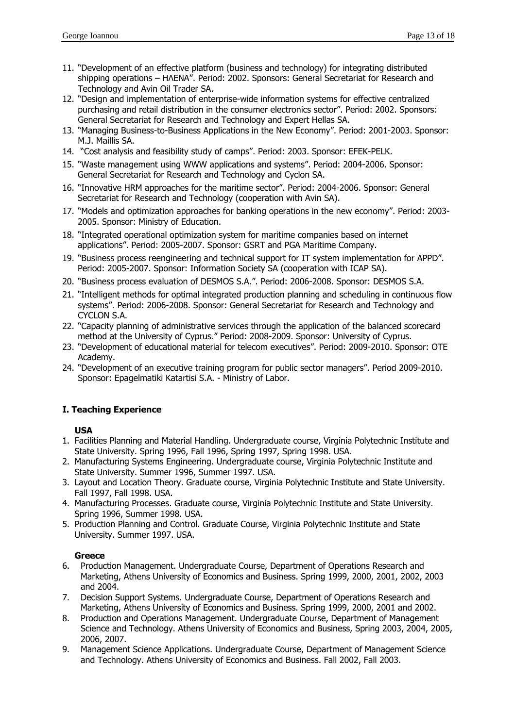- 11. "Development of an effective platform (business and technology) for integrating distributed shipping operations – ΗΛΕΝΑ". Period: 2002. Sponsors: General Secretariat for Research and Technology and Avin Oil Trader SA.
- 12. "Design and implementation of enterprise-wide information systems for effective centralized purchasing and retail distribution in the consumer electronics sector". Period: 2002. Sponsors: General Secretariat for Research and Technology and Expert Hellas SA.
- 13. "Managing Business-to-Business Applications in the New Economy". Period: 2001-2003. Sponsor: M.J. Maillis SA.
- 14. "Cost analysis and feasibility study of camps". Period: 2003. Sponsor: EFEK-PELK.
- 15. "Waste management using WWW applications and systems". Period: 2004-2006. Sponsor: General Secretariat for Research and Technology and Cyclon SA.
- 16. "Innovative HRM approaches for the maritime sector". Period: 2004-2006. Sponsor: General Secretariat for Research and Technology (cooperation with Avin SA).
- 17. "Models and optimization approaches for banking operations in the new economy". Period: 2003- 2005. Sponsor: Ministry of Education.
- 18. "Integrated operational optimization system for maritime companies based on internet applications". Period: 2005-2007. Sponsor: GSRT and PGA Maritime Company.
- 19. "Business process reengineering and technical support for IT system implementation for APPD". Period: 2005-2007. Sponsor: Information Society SA (cooperation with ICAP SA).
- 20. "Business process evaluation of DESMOS S.A.". Period: 2006-2008. Sponsor: DESMOS S.A.
- 21. "Intelligent methods for optimal integrated production planning and scheduling in continuous flow systems". Period: 2006-2008. Sponsor: General Secretariat for Research and Technology and CYCLON S.A.
- 22. "Capacity planning of administrative services through the application of the balanced scorecard method at the University of Cyprus." Period: 2008-2009. Sponsor: University of Cyprus.
- 23. "Development of educational material for telecom executives". Period: 2009-2010. Sponsor: OTE Academy.
- 24. "Development of an executive training program for public sector managers". Period 2009-2010. Sponsor: Epagelmatiki Katartisi S.A. - Ministry of Labor.

## **Ι. Teaching Experience**

## **USA**

- 1. Facilities Planning and Material Handling. Undergraduate course, Virginia Polytechnic Institute and State University. Spring 1996, Fall 1996, Spring 1997, Spring 1998. USA.
- 2. Manufacturing Systems Engineering. Undergraduate course, Virginia Polytechnic Institute and State University. Summer 1996, Summer 1997. USA.
- 3. Layout and Location Theory. Graduate course, Virginia Polytechnic Institute and State University. Fall 1997, Fall 1998. USA.
- 4. Manufacturing Processes. Graduate course, Virginia Polytechnic Institute and State University. Spring 1996, Summer 1998. USA.
- 5. Production Planning and Control. Graduate Course, Virginia Polytechnic Institute and State University. Summer 1997. USA.

## **Greece**

- 6. Production Management. Undergraduate Course, Department of Operations Research and Marketing, Athens University of Economics and Business. Spring 1999, 2000, 2001, 2002, 2003 and 2004.
- 7. Decision Support Systems. Undergraduate Course, Department of Operations Research and Marketing, Athens University of Economics and Business. Spring 1999, 2000, 2001 and 2002.
- 8. Production and Operations Management. Undergraduate Course, Department of Management Science and Technology. Athens University of Economics and Business, Spring 2003, 2004, 2005, 2006, 2007.
- 9. Management Science Applications. Undergraduate Course, Department of Management Science and Technology. Athens University of Economics and Business. Fall 2002, Fall 2003.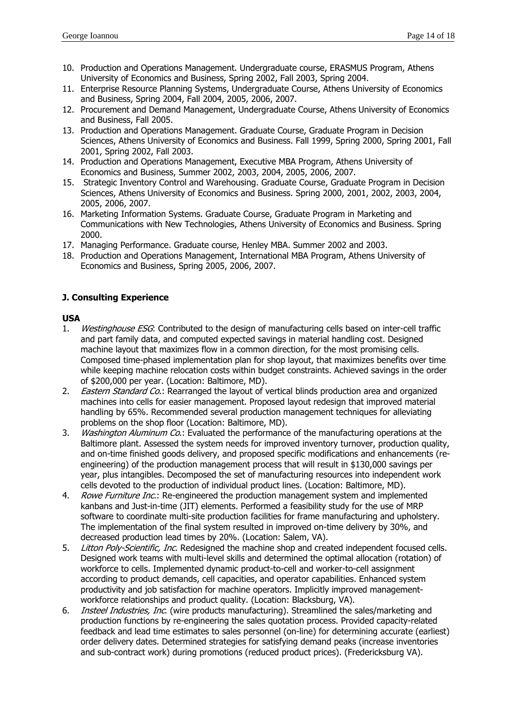- 10. Production and Operations Management. Undergraduate course, ERASMUS Program, Athens University of Economics and Business, Spring 2002, Fall 2003, Spring 2004.
- 11. Enterprise Resource Planning Systems, Undergraduate Course, Athens University of Economics and Business, Spring 2004, Fall 2004, 2005, 2006, 2007.
- 12. Procurement and Demand Management, Undergraduate Course, Athens University of Economics and Business, Fall 2005.
- 13. Production and Operations Management. Graduate Course, Graduate Program in Decision Sciences, Athens University of Economics and Business. Fall 1999, Spring 2000, Spring 2001, Fall 2001, Spring 2002, Fall 2003.
- 14. Production and Operations Management, Executive MBA Program, Athens University of Economics and Business, Summer 2002, 2003, 2004, 2005, 2006, 2007.
- 15. Strategic Inventory Control and Warehousing. Graduate Course, Graduate Program in Decision Sciences, Athens University of Economics and Business. Spring 2000, 2001, 2002, 2003, 2004, 2005, 2006, 2007.
- 16. Marketing Information Systems. Graduate Course, Graduate Program in Marketing and Communications with New Technologies, Athens University of Economics and Business. Spring 2000.
- 17. Managing Performance. Graduate course, Henley MBA. Summer 2002 and 2003.
- 18. Production and Operations Management, International MBA Program, Athens University of Economics and Business, Spring 2005, 2006, 2007.

## **J. Consulting Experience**

## **USA**

- 1. Westinghouse ESG: Contributed to the design of manufacturing cells based on inter-cell traffic and part family data, and computed expected savings in material handling cost. Designed machine layout that maximizes flow in a common direction, for the most promising cells. Composed time-phased implementation plan for shop layout, that maximizes benefits over time while keeping machine relocation costs within budget constraints. Achieved savings in the order of \$200,000 per year. (Location: Baltimore, MD).
- 2. *Eastern Standard Co.*: Rearranged the layout of vertical blinds production area and organized machines into cells for easier management. Proposed layout redesign that improved material handling by 65%. Recommended several production management techniques for alleviating problems on the shop floor (Location: Baltimore, MD).
- 3. Washington Aluminum Co.: Evaluated the performance of the manufacturing operations at the Baltimore plant. Assessed the system needs for improved inventory turnover, production quality, and on-time finished goods delivery, and proposed specific modifications and enhancements (reengineering) of the production management process that will result in \$130,000 savings per year, plus intangibles. Decomposed the set of manufacturing resources into independent work cells devoted to the production of individual product lines. (Location: Baltimore, MD).
- 4. Rowe Furniture Inc.: Re-engineered the production management system and implemented kanbans and Just-in-time (JIT) elements. Performed a feasibility study for the use of MRP software to coordinate multi-site production facilities for frame manufacturing and upholstery. The implementation of the final system resulted in improved on-time delivery by 30%, and decreased production lead times by 20%. (Location: Salem, VA).
- 5. Litton Poly-Scientific, Inc. Redesigned the machine shop and created independent focused cells. Designed work teams with multi-level skills and determined the optimal allocation (rotation) of workforce to cells. Implemented dynamic product-to-cell and worker-to-cell assignment according to product demands, cell capacities, and operator capabilities. Enhanced system productivity and job satisfaction for machine operators. Implicitly improved managementworkforce relationships and product quality. (Location: Blacksburg, VA).
- 6. *Insteel Industries, Inc.* (wire products manufacturing). Streamlined the sales/marketing and production functions by re-engineering the sales quotation process. Provided capacity-related feedback and lead time estimates to sales personnel (on-line) for determining accurate (earliest) order delivery dates. Determined strategies for satisfying demand peaks (increase inventories and sub-contract work) during promotions (reduced product prices). (Fredericksburg VA).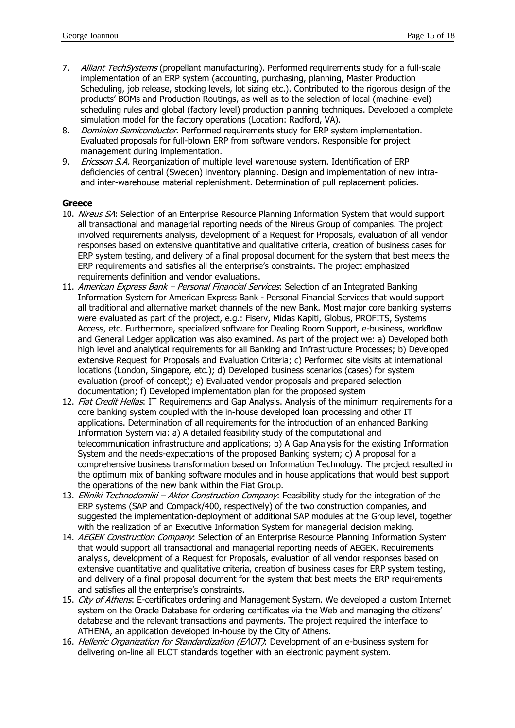- 7. Alliant TechSystems (propellant manufacturing). Performed requirements study for a full-scale implementation of an ERP system (accounting, purchasing, planning, Master Production Scheduling, job release, stocking levels, lot sizing etc.). Contributed to the rigorous design of the products' BOMs and Production Routings, as well as to the selection of local (machine-level) scheduling rules and global (factory level) production planning techniques. Developed a complete simulation model for the factory operations (Location: Radford, VA).
- 8. Dominion Semiconductor. Performed requirements study for ERP system implementation. Evaluated proposals for full-blown ERP from software vendors. Responsible for project management during implementation.
- 9. *Ericsson S.A.* Reorganization of multiple level warehouse system. Identification of ERP deficiencies of central (Sweden) inventory planning. Design and implementation of new intraand inter-warehouse material replenishment. Determination of pull replacement policies.

#### **Greece**

- 10. Nireus SA: Selection of an Enterprise Resource Planning Information System that would support all transactional and managerial reporting needs of the Nireus Group of companies. The project involved requirements analysis, development of a Request for Proposals, evaluation of all vendor responses based on extensive quantitative and qualitative criteria, creation of business cases for ERP system testing, and delivery of a final proposal document for the system that best meets the ERP requirements and satisfies all the enterprise's constraints. The project emphasized requirements definition and vendor evaluations.
- 11. American Express Bank Personal Financial Services: Selection of an Integrated Banking Information System for American Express Bank - Personal Financial Services that would support all traditional and alternative market channels of the new Bank. Most major core banking systems were evaluated as part of the project, e.g.: Fiserv, Midas Kapiti, Globus, PROFITS, Systems Access, etc. Furthermore, specialized software for Dealing Room Support, e-business, workflow and General Ledger application was also examined. As part of the project we: a) Developed both high level and analytical requirements for all Banking and Infrastructure Processes; b) Developed extensive Request for Proposals and Evaluation Criteria; c) Performed site visits at international locations (London, Singapore, etc.); d) Developed business scenarios (cases) for system evaluation (proof-of-concept); e) Evaluated vendor proposals and prepared selection documentation; f) Developed implementation plan for the proposed system
- 12. Fiat Credit Hellas: IT Requirements and Gap Analysis. Analysis of the minimum requirements for a core banking system coupled with the in-house developed loan processing and other IT applications. Determination of all requirements for the introduction of an enhanced Banking Information System via: a) A detailed feasibility study of the computational and telecommunication infrastructure and applications; b) A Gap Analysis for the existing Information System and the needs-expectations of the proposed Banking system; c) A proposal for a comprehensive business transformation based on Information Technology. The project resulted in the optimum mix of banking software modules and in house applications that would best support the operations of the new bank within the Fiat Group.
- 13. Elliniki Technodomiki Aktor Construction Company: Feasibility study for the integration of the ERP systems (SAP and Compack/400, respectively) of the two construction companies, and suggested the implementation-deployment of additional SAP modules at the Group level, together with the realization of an Executive Information System for managerial decision making.
- 14. AEGEK Construction Company: Selection of an Enterprise Resource Planning Information System that would support all transactional and managerial reporting needs of AEGEK. Requirements analysis, development of a Request for Proposals, evaluation of all vendor responses based on extensive quantitative and qualitative criteria, creation of business cases for ERP system testing, and delivery of a final proposal document for the system that best meets the ERP requirements and satisfies all the enterprise's constraints.
- 15. City of Athens: E-certificates ordering and Management System. We developed a custom Internet system on the Oracle Database for ordering certificates via the Web and managing the citizens' database and the relevant transactions and payments. The project required the interface to ATHENA, an application developed in-house by the City of Athens.
- 16. Hellenic Organization for Standardization (ΕΛΟΤ): Development of an e-business system for delivering on-line all ELOT standards together with an electronic payment system.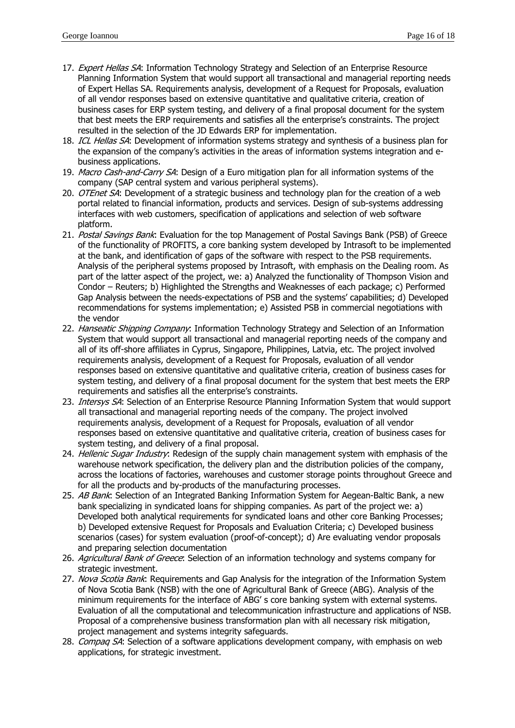- 17. Expert Hellas SA: Information Technology Strategy and Selection of an Enterprise Resource Planning Information System that would support all transactional and managerial reporting needs of Expert Hellas SA. Requirements analysis, development of a Request for Proposals, evaluation of all vendor responses based on extensive quantitative and qualitative criteria, creation of business cases for ERP system testing, and delivery of a final proposal document for the system that best meets the ERP requirements and satisfies all the enterprise's constraints. The project resulted in the selection of the JD Edwards ERP for implementation.
- 18. ICL Hellas SA: Development of information systems strategy and synthesis of a business plan for the expansion of the company's activities in the areas of information systems integration and ebusiness applications.
- 19. Macro Cash-and-Carry SA: Design of a Euro mitigation plan for all information systems of the company (SAP central system and various peripheral systems).
- 20. OTEnet SA: Development of a strategic business and technology plan for the creation of a web portal related to financial information, products and services. Design of sub-systems addressing interfaces with web customers, specification of applications and selection of web software platform.
- 21. Postal Savings Bank: Evaluation for the top Management of Postal Savings Bank (PSB) of Greece of the functionality of PROFITS, a core banking system developed by Intrasoft to be implemented at the bank, and identification of gaps of the software with respect to the PSB requirements. Analysis of the peripheral systems proposed by Intrasoft, with emphasis on the Dealing room. As part of the latter aspect of the project, we: a) Analyzed the functionality of Thompson Vision and Condor – Reuters; b) Highlighted the Strengths and Weaknesses of each package; c) Performed Gap Analysis between the needs-expectations of PSB and the systems' capabilities; d) Developed recommendations for systems implementation; e) Assisted PSB in commercial negotiations with the vendor
- 22. Hanseatic Shipping Company: Information Technology Strategy and Selection of an Information System that would support all transactional and managerial reporting needs of the company and all of its off-shore affiliates in Cyprus, Singapore, Philippines, Latvia, etc. The project involved requirements analysis, development of a Request for Proposals, evaluation of all vendor responses based on extensive quantitative and qualitative criteria, creation of business cases for system testing, and delivery of a final proposal document for the system that best meets the ERP requirements and satisfies all the enterprise's constraints.
- 23. Intersys SA: Selection of an Enterprise Resource Planning Information System that would support all transactional and managerial reporting needs of the company. The project involved requirements analysis, development of a Request for Proposals, evaluation of all vendor responses based on extensive quantitative and qualitative criteria, creation of business cases for system testing, and delivery of a final proposal.
- 24. Hellenic Sugar Industry: Redesign of the supply chain management system with emphasis of the warehouse network specification, the delivery plan and the distribution policies of the company, across the locations of factories, warehouses and customer storage points throughout Greece and for all the products and by-products of the manufacturing processes.
- 25. AB Bank: Selection of an Integrated Banking Information System for Aegean-Baltic Bank, a new bank specializing in syndicated loans for shipping companies. As part of the project we: a) Developed both analytical requirements for syndicated loans and other core Banking Processes; b) Developed extensive Request for Proposals and Evaluation Criteria; c) Developed business scenarios (cases) for system evaluation (proof-of-concept); d) Are evaluating vendor proposals and preparing selection documentation
- 26. Agricultural Bank of Greece: Selection of an information technology and systems company for strategic investment.
- 27. Nova Scotia Bank: Requirements and Gap Analysis for the integration of the Information System of Nova Scotia Bank (NSB) with the one of Agricultural Bank of Greece (ABG). Analysis of the minimum requirements for the interface of ABG' s core banking system with external systems. Evaluation of all the computational and telecommunication infrastructure and applications of NSB. Proposal of a comprehensive business transformation plan with all necessary risk mitigation, project management and systems integrity safeguards.
- 28. Compaq SA: Selection of a software applications development company, with emphasis on web applications, for strategic investment.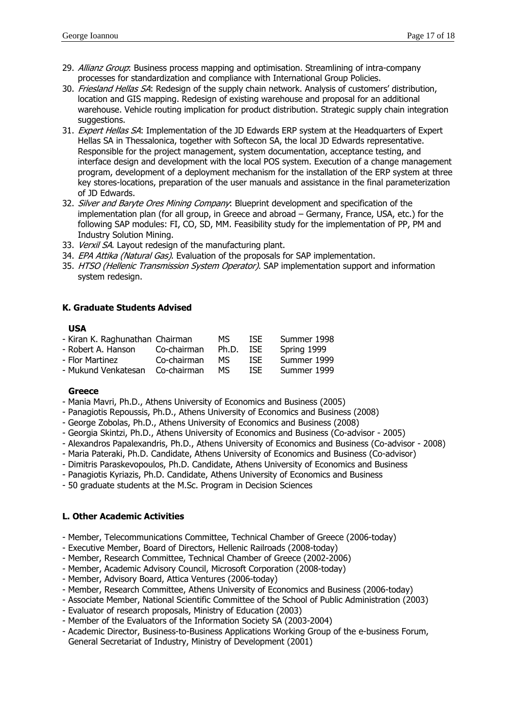- 29. Allianz Group: Business process mapping and optimisation. Streamlining of intra-company processes for standardization and compliance with International Group Policies.
- 30. Friesland Hellas SA: Redesign of the supply chain network. Analysis of customers' distribution, location and GIS mapping. Redesign of existing warehouse and proposal for an additional warehouse. Vehicle routing implication for product distribution. Strategic supply chain integration suggestions.
- 31. Expert Hellas SA: Implementation of the JD Edwards ERP system at the Headquarters of Expert Hellas SA in Thessalonica, together with Softecon SA, the local JD Edwards representative. Responsible for the project management, system documentation, acceptance testing, and interface design and development with the local POS system. Execution of a change management program, development of a deployment mechanism for the installation of the ERP system at three key stores-locations, preparation of the user manuals and assistance in the final parameterization of JD Edwards.
- 32. Silver and Baryte Ores Mining Company: Blueprint development and specification of the implementation plan (for all group, in Greece and abroad – Germany, France, USA, etc.) for the following SAP modules: FI, CO, SD, MM. Feasibility study for the implementation of PP, PM and Industry Solution Mining.
- 33. Verxil SA. Layout redesign of the manufacturing plant.
- 34. EPA Attika (Natural Gas). Evaluation of the proposals for SAP implementation.
- 35. HTSO (Hellenic Transmission System Operator). SAP implementation support and information system redesign.

## **K. Graduate Students Advised**

#### **USA**

| - Kiran K. Raghunathan Chairman |             | MS.   | ISE. | Summer 1998 |
|---------------------------------|-------------|-------|------|-------------|
| - Robert A. Hanson              | Co-chairman | Ph.D. | ISE. | Spring 1999 |
| - Flor Martinez                 | Co-chairman | MS.   | ISE. | Summer 1999 |
| - Mukund Venkatesan             | Co-chairman | MS.   | ISE. | Summer 1999 |

## **Greece**

- Mania Mavri, Ph.D., Athens University of Economics and Business (2005)
- Panagiotis Repoussis, Ph.D., Athens University of Economics and Business (2008)
- George Zobolas, Ph.D., Athens University of Economics and Business (2008)
- Georgia Skintzi, Ph.D., Athens University of Economics and Business (Co-advisor 2005)
- Alexandros Papalexandris, Ph.D., Athens University of Economics and Business (Co-advisor 2008)
- Maria Pateraki, Ph.D. Candidate, Athens University of Economics and Business (Co-advisor)
- Dimitris Paraskevopoulos, Ph.D. Candidate, Athens University of Economics and Business
- Panagiotis Kyriazis, Ph.D. Candidate, Athens University of Economics and Business
- 50 graduate students at the M.Sc. Program in Decision Sciences

## **L. Other Academic Activities**

- Member, Telecommunications Committee, Technical Chamber of Greece (2006-today)
- Executive Member, Board of Directors, Hellenic Railroads (2008-today)
- Member, Research Committee, Technical Chamber of Greece (2002-2006)
- Member, Academic Advisory Council, Microsoft Corporation (2008-today)
- Member, Advisory Board, Attica Ventures (2006-today)
- Member, Research Committee, Athens University of Economics and Business (2006-today)
- Associate Member, National Scientific Committee of the School of Public Administration (2003)
- Evaluator of research proposals, Ministry of Education (2003)
- Member of the Evaluators of the Information Society SA (2003-2004)
- Academic Director, Business-to-Business Applications Working Group of the e-business Forum, General Secretariat of Industry, Ministry of Development (2001)